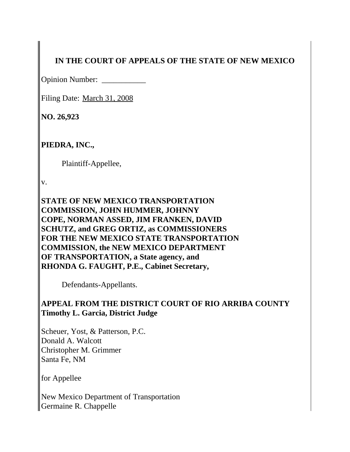# **IN THE COURT OF APPEALS OF THE STATE OF NEW MEXICO**

Opinion Number: \_\_\_\_\_\_\_\_\_\_\_

Filing Date: March 31, 2008

**NO. 26,923**

**PIEDRA, INC.,**

Plaintiff-Appellee,

v.

**STATE OF NEW MEXICO TRANSPORTATION COMMISSION, JOHN HUMMER, JOHNNY COPE, NORMAN ASSED, JIM FRANKEN, DAVID SCHUTZ, and GREG ORTIZ, as COMMISSIONERS FOR THE NEW MEXICO STATE TRANSPORTATION COMMISSION, the NEW MEXICO DEPARTMENT OF TRANSPORTATION, a State agency, and RHONDA G. FAUGHT, P.E., Cabinet Secretary,**

Defendants-Appellants.

# **APPEAL FROM THE DISTRICT COURT OF RIO ARRIBA COUNTY Timothy L. Garcia, District Judge**

Scheuer, Yost, & Patterson, P.C. Donald A. Walcott Christopher M. Grimmer Santa Fe, NM

for Appellee

New Mexico Department of Transportation Germaine R. Chappelle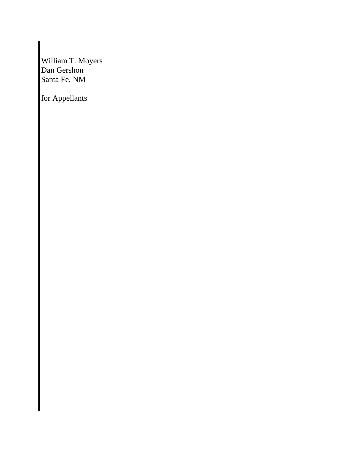William T. Moyers Dan Gershon Santa Fe, NM

for Appellants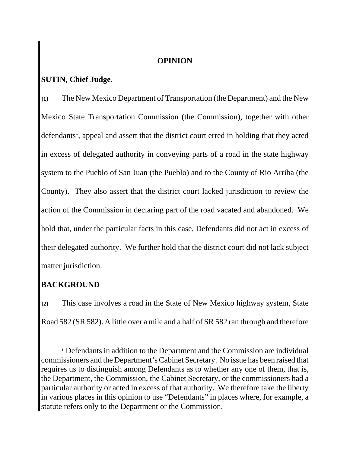## **OPINION**

# **SUTIN, Chief Judge.**

**{1}** The New Mexico Department of Transportation (the Department) and the New Mexico State Transportation Commission (the Commission), together with other defendants<sup>1</sup>, appeal and assert that the district court erred in holding that they acted in excess of delegated authority in conveying parts of a road in the state highway system to the Pueblo of San Juan (the Pueblo) and to the County of Rio Arriba (the County). They also assert that the district court lacked jurisdiction to review the action of the Commission in declaring part of the road vacated and abandoned. We hold that, under the particular facts in this case, Defendants did not act in excess of their delegated authority. We further hold that the district court did not lack subject matter jurisdiction.

# **BACKGROUND**

**{2}** This case involves a road in the State of New Mexico highway system, State Road 582 (SR 582). A little over a mile and a half of SR 582 ran through and therefore

<sup>&</sup>lt;sup>1</sup> Defendants in addition to the Department and the Commission are individual commissioners and the Department's Cabinet Secretary. No issue has been raised that requires us to distinguish among Defendants as to whether any one of them, that is, the Department, the Commission, the Cabinet Secretary, or the commissioners had a particular authority or acted in excess of that authority. We therefore take the liberty in various places in this opinion to use "Defendants" in places where, for example, a statute refers only to the Department or the Commission.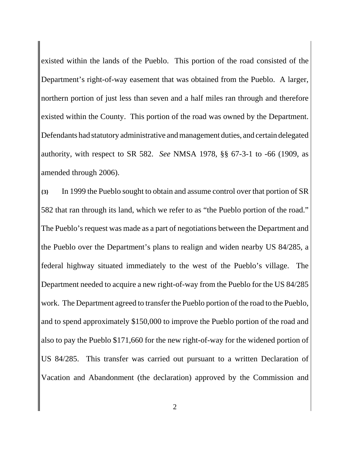existed within the lands of the Pueblo. This portion of the road consisted of the Department's right-of-way easement that was obtained from the Pueblo. A larger, northern portion of just less than seven and a half miles ran through and therefore existed within the County. This portion of the road was owned by the Department. Defendants had statutory administrative and management duties, and certain delegated authority, with respect to SR 582. *See* NMSA 1978, §§ 67-3-1 to -66 (1909, as amended through 2006).

**{3}** In 1999 the Pueblo sought to obtain and assume control over that portion of SR 582 that ran through its land, which we refer to as "the Pueblo portion of the road." The Pueblo's request was made as a part of negotiations between the Department and the Pueblo over the Department's plans to realign and widen nearby US 84/285, a federal highway situated immediately to the west of the Pueblo's village. The Department needed to acquire a new right-of-way from the Pueblo for the US 84/285 work. The Department agreed to transfer the Pueblo portion of the road to the Pueblo, and to spend approximately \$150,000 to improve the Pueblo portion of the road and also to pay the Pueblo \$171,660 for the new right-of-way for the widened portion of US 84/285. This transfer was carried out pursuant to a written Declaration of Vacation and Abandonment (the declaration) approved by the Commission and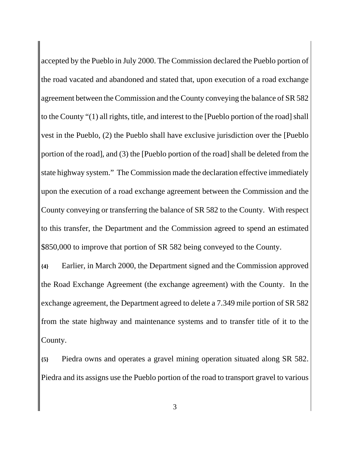accepted by the Pueblo in July 2000. The Commission declared the Pueblo portion of the road vacated and abandoned and stated that, upon execution of a road exchange agreement between the Commission and the County conveying the balance of SR 582 to the County "(1) all rights, title, and interest to the [Pueblo portion of the road] shall vest in the Pueblo, (2) the Pueblo shall have exclusive jurisdiction over the [Pueblo portion of the road], and (3) the [Pueblo portion of the road] shall be deleted from the state highway system." The Commission made the declaration effective immediately upon the execution of a road exchange agreement between the Commission and the County conveying or transferring the balance of SR 582 to the County. With respect to this transfer, the Department and the Commission agreed to spend an estimated \$850,000 to improve that portion of SR 582 being conveyed to the County.

**{4}** Earlier, in March 2000, the Department signed and the Commission approved the Road Exchange Agreement (the exchange agreement) with the County. In the exchange agreement, the Department agreed to delete a 7.349 mile portion of SR 582 from the state highway and maintenance systems and to transfer title of it to the County.

**{5}** Piedra owns and operates a gravel mining operation situated along SR 582. Piedra and its assigns use the Pueblo portion of the road to transport gravel to various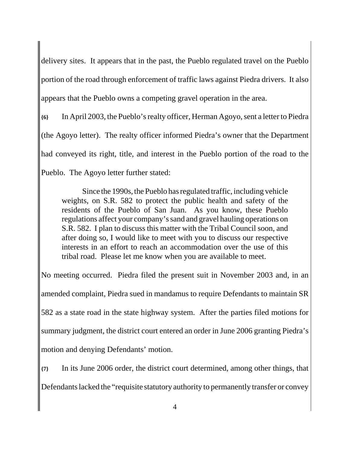delivery sites. It appears that in the past, the Pueblo regulated travel on the Pueblo portion of the road through enforcement of traffic laws against Piedra drivers. It also appears that the Pueblo owns a competing gravel operation in the area.

**{6}** In April 2003, the Pueblo's realty officer, Herman Agoyo, sent a letter to Piedra (the Agoyo letter). The realty officer informed Piedra's owner that the Department had conveyed its right, title, and interest in the Pueblo portion of the road to the Pueblo. The Agoyo letter further stated:

Since the 1990s, the Pueblo has regulated traffic, including vehicle weights, on S.R. 582 to protect the public health and safety of the residents of the Pueblo of San Juan. As you know, these Pueblo regulations affect your company's sand and gravel hauling operations on S.R. 582. I plan to discuss this matter with the Tribal Council soon, and after doing so, I would like to meet with you to discuss our respective interests in an effort to reach an accommodation over the use of this tribal road. Please let me know when you are available to meet.

No meeting occurred. Piedra filed the present suit in November 2003 and, in an amended complaint, Piedra sued in mandamus to require Defendants to maintain SR 582 as a state road in the state highway system. After the parties filed motions for summary judgment, the district court entered an order in June 2006 granting Piedra's motion and denying Defendants' motion.

**{7}** In its June 2006 order, the district court determined, among other things, that Defendants lacked the "requisite statutory authority to permanently transfer or convey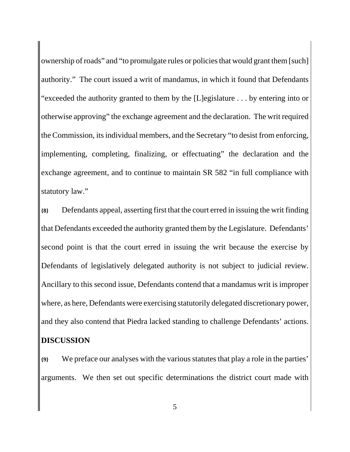ownership of roads" and "to promulgate rules or policies that would grant them [such] authority." The court issued a writ of mandamus, in which it found that Defendants "exceeded the authority granted to them by the [L]egislature . . . by entering into or otherwise approving" the exchange agreement and the declaration. The writ required the Commission, its individual members, and the Secretary "to desist from enforcing, implementing, completing, finalizing, or effectuating" the declaration and the exchange agreement, and to continue to maintain SR 582 "in full compliance with statutory law."

**{8}** Defendants appeal, asserting first that the court erred in issuing the writ finding that Defendants exceeded the authority granted them by the Legislature. Defendants' second point is that the court erred in issuing the writ because the exercise by Defendants of legislatively delegated authority is not subject to judicial review. Ancillary to this second issue, Defendants contend that a mandamus writ is improper where, as here, Defendants were exercising statutorily delegated discretionary power, and they also contend that Piedra lacked standing to challenge Defendants' actions. **DISCUSSION**

**{9}** We preface our analyses with the various statutes that play a role in the parties' arguments. We then set out specific determinations the district court made with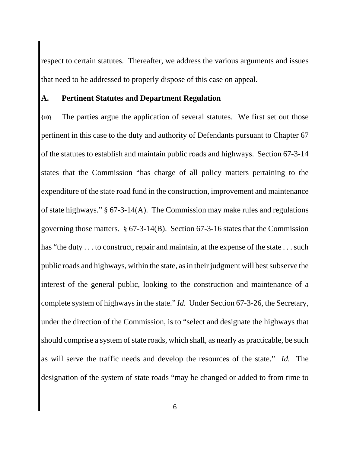respect to certain statutes. Thereafter, we address the various arguments and issues that need to be addressed to properly dispose of this case on appeal.

### **A. Pertinent Statutes and Department Regulation**

**{10}** The parties argue the application of several statutes. We first set out those pertinent in this case to the duty and authority of Defendants pursuant to Chapter 67 of the statutes to establish and maintain public roads and highways. Section 67-3-14 states that the Commission "has charge of all policy matters pertaining to the expenditure of the state road fund in the construction, improvement and maintenance of state highways." § 67-3-14(A). The Commission may make rules and regulations governing those matters. § 67-3-14(B). Section 67-3-16 states that the Commission has "the duty . . . to construct, repair and maintain, at the expense of the state . . . such public roads and highways, within the state, as in their judgment will best subserve the interest of the general public, looking to the construction and maintenance of a complete system of highways in the state." *Id.* Under Section 67-3-26, the Secretary, under the direction of the Commission, is to "select and designate the highways that should comprise a system of state roads, which shall, as nearly as practicable, be such as will serve the traffic needs and develop the resources of the state." *Id.* The designation of the system of state roads "may be changed or added to from time to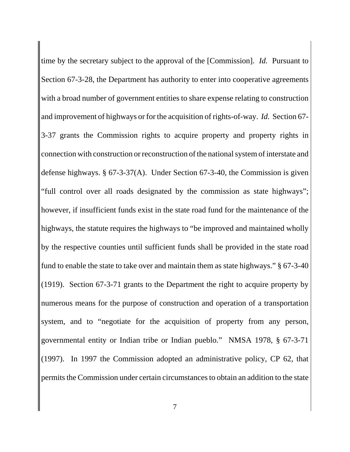time by the secretary subject to the approval of the [Commission]. *Id.* Pursuant to Section 67-3-28, the Department has authority to enter into cooperative agreements with a broad number of government entities to share expense relating to construction and improvement of highways or for the acquisition of rights-of-way. *Id.* Section 67- 3-37 grants the Commission rights to acquire property and property rights in connection with construction or reconstruction of the national system of interstate and defense highways. § 67-3-37(A). Under Section 67-3-40, the Commission is given "full control over all roads designated by the commission as state highways"; however, if insufficient funds exist in the state road fund for the maintenance of the highways, the statute requires the highways to "be improved and maintained wholly by the respective counties until sufficient funds shall be provided in the state road fund to enable the state to take over and maintain them as state highways." § 67-3-40 (1919). Section 67-3-71 grants to the Department the right to acquire property by numerous means for the purpose of construction and operation of a transportation system, and to "negotiate for the acquisition of property from any person, governmental entity or Indian tribe or Indian pueblo." NMSA 1978, § 67-3-71 (1997). In 1997 the Commission adopted an administrative policy, CP 62, that permits the Commission under certain circumstances to obtain an addition to the state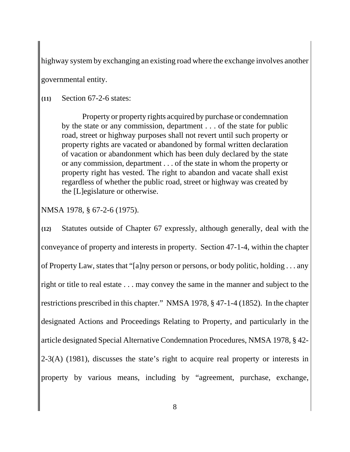highway system by exchanging an existing road where the exchange involves another

governmental entity.

## **{11}** Section 67-2-6 states:

Property or property rights acquired by purchase or condemnation by the state or any commission, department . . . of the state for public road, street or highway purposes shall not revert until such property or property rights are vacated or abandoned by formal written declaration of vacation or abandonment which has been duly declared by the state or any commission, department . . . of the state in whom the property or property right has vested. The right to abandon and vacate shall exist regardless of whether the public road, street or highway was created by the [L]egislature or otherwise.

NMSA 1978, § 67-2-6 (1975).

**{12}** Statutes outside of Chapter 67 expressly, although generally, deal with the conveyance of property and interests in property. Section 47-1-4, within the chapter of Property Law, states that "[a]ny person or persons, or body politic, holding . . . any right or title to real estate . . . may convey the same in the manner and subject to the restrictions prescribed in this chapter." NMSA 1978, § 47-1-4 (1852). In the chapter designated Actions and Proceedings Relating to Property, and particularly in the article designated Special Alternative Condemnation Procedures, NMSA 1978, § 42- 2-3(A) (1981), discusses the state's right to acquire real property or interests in property by various means, including by "agreement, purchase, exchange,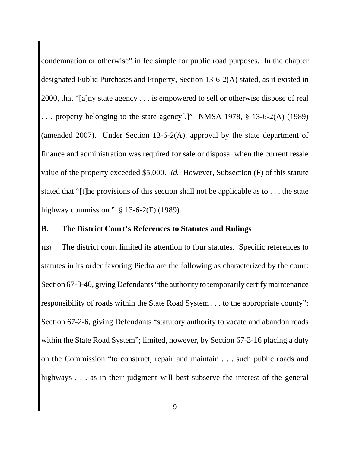condemnation or otherwise" in fee simple for public road purposes. In the chapter designated Public Purchases and Property, Section 13-6-2(A) stated, as it existed in 2000, that "[a]ny state agency . . . is empowered to sell or otherwise dispose of real . . . property belonging to the state agency[.]" NMSA 1978, § 13-6-2(A) (1989) (amended 2007). Under Section 13-6-2(A), approval by the state department of finance and administration was required for sale or disposal when the current resale value of the property exceeded \$5,000. *Id.* However, Subsection (F) of this statute stated that "[t]he provisions of this section shall not be applicable as to . . . the state highway commission." § 13-6-2(F) (1989).

#### **B. The District Court's References to Statutes and Rulings**

**{13}** The district court limited its attention to four statutes. Specific references to statutes in its order favoring Piedra are the following as characterized by the court: Section 67-3-40, giving Defendants "the authority to temporarily certify maintenance responsibility of roads within the State Road System . . . to the appropriate county"; Section 67-2-6, giving Defendants "statutory authority to vacate and abandon roads within the State Road System"; limited, however, by Section 67-3-16 placing a duty on the Commission "to construct, repair and maintain . . . such public roads and highways . . . as in their judgment will best subserve the interest of the general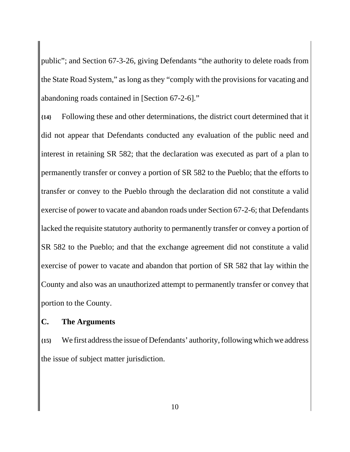public"; and Section 67-3-26, giving Defendants "the authority to delete roads from the State Road System," as long as they "comply with the provisions for vacating and abandoning roads contained in [Section 67-2-6]."

**{14}** Following these and other determinations, the district court determined that it did not appear that Defendants conducted any evaluation of the public need and interest in retaining SR 582; that the declaration was executed as part of a plan to permanently transfer or convey a portion of SR 582 to the Pueblo; that the efforts to transfer or convey to the Pueblo through the declaration did not constitute a valid exercise of power to vacate and abandon roads under Section 67-2-6; that Defendants lacked the requisite statutory authority to permanently transfer or convey a portion of SR 582 to the Pueblo; and that the exchange agreement did not constitute a valid exercise of power to vacate and abandon that portion of SR 582 that lay within the County and also was an unauthorized attempt to permanently transfer or convey that portion to the County.

#### **C. The Arguments**

**{15}** We first address the issue of Defendants' authority, following which we address the issue of subject matter jurisdiction.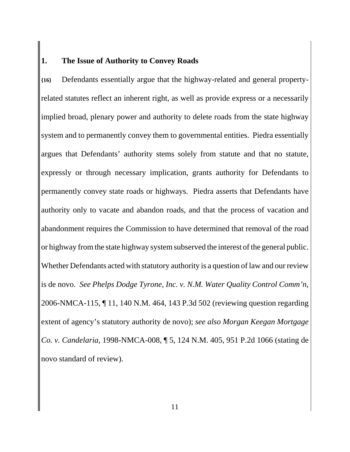## **1. The Issue of Authority to Convey Roads**

**{16}** Defendants essentially argue that the highway-related and general propertyrelated statutes reflect an inherent right, as well as provide express or a necessarily implied broad, plenary power and authority to delete roads from the state highway system and to permanently convey them to governmental entities. Piedra essentially argues that Defendants' authority stems solely from statute and that no statute, expressly or through necessary implication, grants authority for Defendants to permanently convey state roads or highways. Piedra asserts that Defendants have authority only to vacate and abandon roads, and that the process of vacation and abandonment requires the Commission to have determined that removal of the road or highway from the state highway system subserved the interest of the general public. Whether Defendants acted with statutory authority is a question of law and our review is de novo. *See Phelps Dodge Tyrone, Inc. v. N.M. Water Quality Control Comm'n*, 2006-NMCA-115, ¶ 11, 140 N.M. 464, 143 P.3d 502 (reviewing question regarding extent of agency's statutory authority de novo); *see also Morgan Keegan Mortgage Co. v. Candelaria*, 1998-NMCA-008, ¶ 5, 124 N.M. 405, 951 P.2d 1066 (stating de novo standard of review).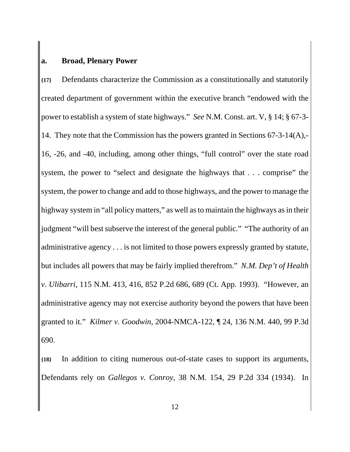## **a. Broad, Plenary Power**

**{17}** Defendants characterize the Commission as a constitutionally and statutorily created department of government within the executive branch "endowed with the power to establish a system of state highways." *See* N.M. Const. art. V, § 14; § 67-3- 14. They note that the Commission has the powers granted in Sections 67-3-14(A),- 16, -26, and -40, including, among other things, "full control" over the state road system, the power to "select and designate the highways that . . . comprise" the system, the power to change and add to those highways, and the power to manage the highway system in "all policy matters," as well as to maintain the highways as in their judgment "will best subserve the interest of the general public." "The authority of an administrative agency . . . is not limited to those powers expressly granted by statute, but includes all powers that may be fairly implied therefrom." *N.M. Dep't of Health v. Ulibarri*, 115 N.M. 413, 416, 852 P.2d 686, 689 (Ct. App. 1993). "However, an administrative agency may not exercise authority beyond the powers that have been granted to it." *Kilmer v. Goodwin*, 2004-NMCA-122, ¶ 24, 136 N.M. 440, 99 P.3d 690.

**{18}** In addition to citing numerous out-of-state cases to support its arguments, Defendants rely on *Gallegos v. Conroy*, 38 N.M. 154, 29 P.2d 334 (1934). In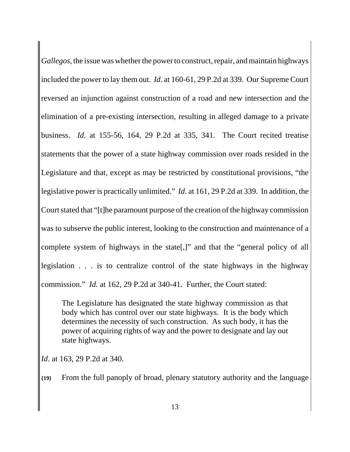*Gallegos*, the issue was whether the power to construct, repair, and maintain highways included the power to lay them out. *Id.* at 160-61, 29 P.2d at 339. Our Supreme Court reversed an injunction against construction of a road and new intersection and the elimination of a pre-existing intersection, resulting in alleged damage to a private business. *Id.* at 155-56, 164, 29 P.2d at 335, 341. The Court recited treatise statements that the power of a state highway commission over roads resided in the Legislature and that, except as may be restricted by constitutional provisions, "the legislative power is practically unlimited." *Id.* at 161, 29 P.2d at 339. In addition, the Court stated that "[t]he paramount purpose of the creation of the highway commission was to subserve the public interest, looking to the construction and maintenance of a complete system of highways in the state[,]" and that the "general policy of all legislation . . . is to centralize control of the state highways in the highway commission." *Id.* at 162, 29 P.2d at 340-41. Further, the Court stated:

The Legislature has designated the state highway commission as that body which has control over our state highways. It is the body which determines the necessity of such construction. As such body, it has the power of acquiring rights of way and the power to designate and lay out state highways.

*Id*. at 163, 29 P.2d at 340.

**{19}** From the full panoply of broad, plenary statutory authority and the language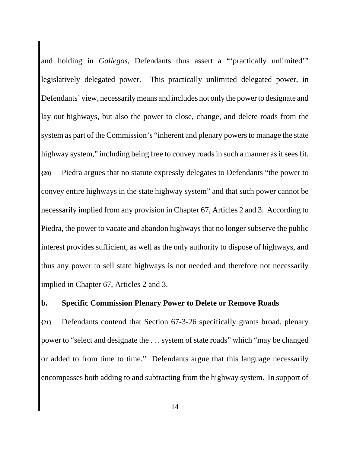and holding in *Gallegos*, Defendants thus assert a "'practically unlimited'" legislatively delegated power. This practically unlimited delegated power, in Defendants' view, necessarily means and includes not only the power to designate and lay out highways, but also the power to close, change, and delete roads from the system as part of the Commission's "inherent and plenary powers to manage the state highway system," including being free to convey roads in such a manner as it sees fit. **{20}** Piedra argues that no statute expressly delegates to Defendants "the power to convey entire highways in the state highway system" and that such power cannot be necessarily implied from any provision in Chapter 67, Articles 2 and 3. According to Piedra, the power to vacate and abandon highways that no longer subserve the public interest provides sufficient, as well as the only authority to dispose of highways, and thus any power to sell state highways is not needed and therefore not necessarily implied in Chapter 67, Articles 2 and 3.

## **b. Specific Commission Plenary Power to Delete or Remove Roads**

**{21}** Defendants contend that Section 67-3-26 specifically grants broad, plenary power to "select and designate the . . . system of state roads" which "may be changed or added to from time to time." Defendants argue that this language necessarily encompasses both adding to and subtracting from the highway system. In support of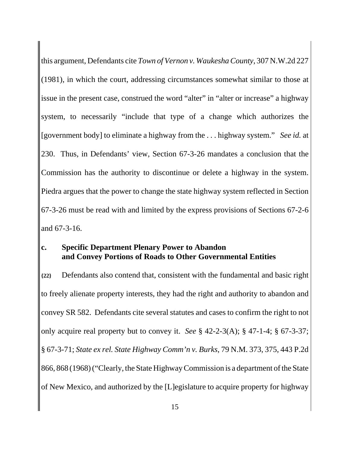this argument, Defendants cite *Town of Vernon v. Waukesha County*, 307 N.W.2d 227 (1981), in which the court, addressing circumstances somewhat similar to those at issue in the present case, construed the word "alter" in "alter or increase" a highway system, to necessarily "include that type of a change which authorizes the [government body] to eliminate a highway from the . . . highway system." *See id.* at 230. Thus, in Defendants' view, Section 67-3-26 mandates a conclusion that the Commission has the authority to discontinue or delete a highway in the system. Piedra argues that the power to change the state highway system reflected in Section 67-3-26 must be read with and limited by the express provisions of Sections 67-2-6 and 67-3-16.

### **c. Specific Department Plenary Power to Abandon and Convey Portions of Roads to Other Governmental Entities**

**{22}** Defendants also contend that, consistent with the fundamental and basic right to freely alienate property interests, they had the right and authority to abandon and convey SR 582. Defendants cite several statutes and cases to confirm the right to not only acquire real property but to convey it. *See* § 42-2-3(A); § 47-1-4; § 67-3-37; § 67-3-71; *State ex rel. State Highway Comm'n v. Burks*, 79 N.M. 373, 375, 443 P.2d 866, 868 (1968) ("Clearly, the State Highway Commission is a department of the State of New Mexico, and authorized by the [L]egislature to acquire property for highway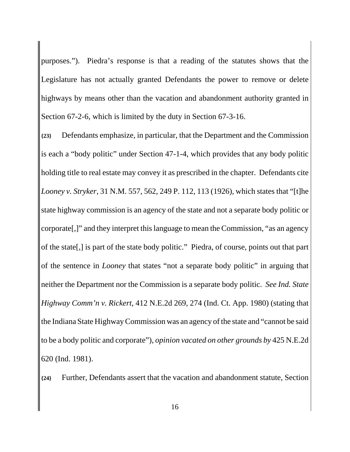purposes."). Piedra's response is that a reading of the statutes shows that the Legislature has not actually granted Defendants the power to remove or delete highways by means other than the vacation and abandonment authority granted in Section 67-2-6, which is limited by the duty in Section 67-3-16.

**{23}** Defendants emphasize, in particular, that the Department and the Commission is each a "body politic" under Section 47-1-4, which provides that any body politic holding title to real estate may convey it as prescribed in the chapter. Defendants cite *Looney v. Stryker*, 31 N.M. 557, 562, 249 P. 112, 113 (1926), which states that "[t]he state highway commission is an agency of the state and not a separate body politic or corporate[,]" and they interpret this language to mean the Commission, "as an agency of the state[,] is part of the state body politic." Piedra, of course, points out that part of the sentence in *Looney* that states "not a separate body politic" in arguing that neither the Department nor the Commission is a separate body politic. *See Ind. State Highway Comm'n v. Rickert*, 412 N.E.2d 269, 274 (Ind. Ct. App. 1980) (stating that the Indiana State Highway Commission was an agency of the state and "cannot be said to be a body politic and corporate"), *opinion vacated on other grounds by* 425 N.E.2d 620 (Ind. 1981).

**{24}** Further, Defendants assert that the vacation and abandonment statute, Section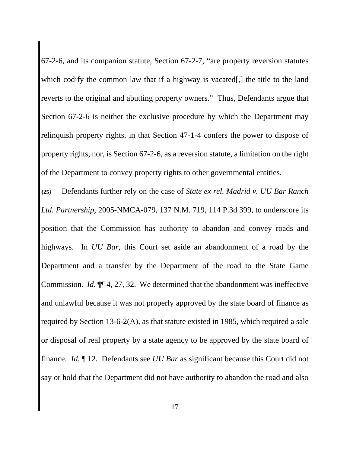67-2-6, and its companion statute, Section 67-2-7, "are property reversion statutes which codify the common law that if a highway is vacated[,] the title to the land reverts to the original and abutting property owners." Thus, Defendants argue that Section 67-2-6 is neither the exclusive procedure by which the Department may relinquish property rights, in that Section 47-1-4 confers the power to dispose of property rights, nor, is Section 67-2-6, as a reversion statute, a limitation on the right of the Department to convey property rights to other governmental entities.

**{25}** Defendants further rely on the case of *State ex rel. Madrid v. UU Bar Ranch Ltd. Partnership*, 2005-NMCA-079, 137 N.M. 719, 114 P.3d 399, to underscore its position that the Commission has authority to abandon and convey roads and highways. In *UU Bar*, this Court set aside an abandonment of a road by the Department and a transfer by the Department of the road to the State Game Commission. *Id.* ¶¶ 4, 27, 32. We determined that the abandonment was ineffective and unlawful because it was not properly approved by the state board of finance as required by Section 13-6-2(A), as that statute existed in 1985, which required a sale or disposal of real property by a state agency to be approved by the state board of finance. *Id.* ¶ 12. Defendants see *UU Bar* as significant because this Court did not say or hold that the Department did not have authority to abandon the road and also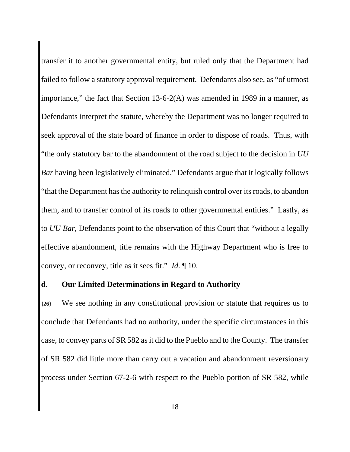transfer it to another governmental entity, but ruled only that the Department had failed to follow a statutory approval requirement. Defendants also see, as "of utmost importance," the fact that Section  $13-6-2(A)$  was amended in 1989 in a manner, as Defendants interpret the statute, whereby the Department was no longer required to seek approval of the state board of finance in order to dispose of roads. Thus, with "the only statutory bar to the abandonment of the road subject to the decision in *UU Bar* having been legislatively eliminated," Defendants argue that it logically follows "that the Department has the authority to relinquish control over its roads, to abandon them, and to transfer control of its roads to other governmental entities." Lastly, as to *UU Bar*, Defendants point to the observation of this Court that "without a legally effective abandonment, title remains with the Highway Department who is free to convey, or reconvey, title as it sees fit." *Id.* ¶ 10.

#### **d. Our Limited Determinations in Regard to Authority**

**{26}** We see nothing in any constitutional provision or statute that requires us to conclude that Defendants had no authority, under the specific circumstances in this case, to convey parts of SR 582 as it did to the Pueblo and to the County. The transfer of SR 582 did little more than carry out a vacation and abandonment reversionary process under Section 67-2-6 with respect to the Pueblo portion of SR 582, while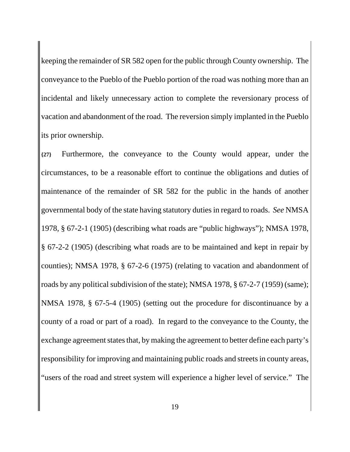keeping the remainder of SR 582 open for the public through County ownership. The conveyance to the Pueblo of the Pueblo portion of the road was nothing more than an incidental and likely unnecessary action to complete the reversionary process of vacation and abandonment of the road. The reversion simply implanted in the Pueblo its prior ownership.

**{27}** Furthermore, the conveyance to the County would appear, under the circumstances, to be a reasonable effort to continue the obligations and duties of maintenance of the remainder of SR 582 for the public in the hands of another governmental body of the state having statutory duties in regard to roads. *See* NMSA 1978, § 67-2-1 (1905) (describing what roads are "public highways"); NMSA 1978, § 67-2-2 (1905) (describing what roads are to be maintained and kept in repair by counties); NMSA 1978, § 67-2-6 (1975) (relating to vacation and abandonment of roads by any political subdivision of the state); NMSA 1978, § 67-2-7 (1959) (same); NMSA 1978, § 67-5-4 (1905) (setting out the procedure for discontinuance by a county of a road or part of a road). In regard to the conveyance to the County, the exchange agreement states that, by making the agreement to better define each party's responsibility for improving and maintaining public roads and streets in county areas, "users of the road and street system will experience a higher level of service." The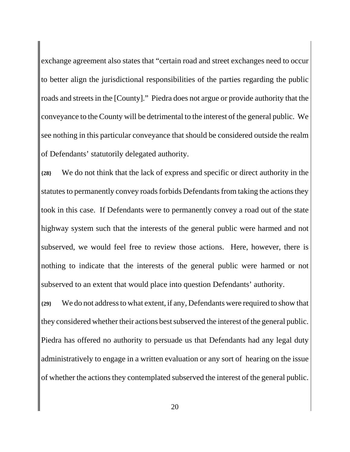exchange agreement also states that "certain road and street exchanges need to occur to better align the jurisdictional responsibilities of the parties regarding the public roads and streets in the [County]." Piedra does not argue or provide authority that the conveyance to the County will be detrimental to the interest of the general public. We see nothing in this particular conveyance that should be considered outside the realm of Defendants' statutorily delegated authority.

**{28}** We do not think that the lack of express and specific or direct authority in the statutes to permanently convey roads forbids Defendants from taking the actions they took in this case. If Defendants were to permanently convey a road out of the state highway system such that the interests of the general public were harmed and not subserved, we would feel free to review those actions. Here, however, there is nothing to indicate that the interests of the general public were harmed or not subserved to an extent that would place into question Defendants' authority.

**{29}** We do not address to what extent, if any, Defendants were required to show that they considered whether their actions best subserved the interest of the general public. Piedra has offered no authority to persuade us that Defendants had any legal duty administratively to engage in a written evaluation or any sort of hearing on the issue of whether the actions they contemplated subserved the interest of the general public.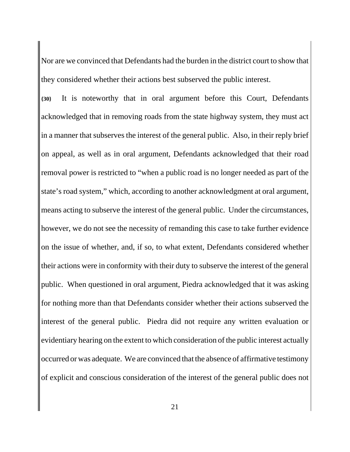Nor are we convinced that Defendants had the burden in the district court to show that they considered whether their actions best subserved the public interest.

**{30}** It is noteworthy that in oral argument before this Court, Defendants acknowledged that in removing roads from the state highway system, they must act in a manner that subserves the interest of the general public. Also, in their reply brief on appeal, as well as in oral argument, Defendants acknowledged that their road removal power is restricted to "when a public road is no longer needed as part of the state's road system," which, according to another acknowledgment at oral argument, means acting to subserve the interest of the general public. Under the circumstances, however, we do not see the necessity of remanding this case to take further evidence on the issue of whether, and, if so, to what extent, Defendants considered whether their actions were in conformity with their duty to subserve the interest of the general public. When questioned in oral argument, Piedra acknowledged that it was asking for nothing more than that Defendants consider whether their actions subserved the interest of the general public. Piedra did not require any written evaluation or evidentiary hearing on the extent to which consideration of the public interest actually occurred or was adequate. We are convinced that the absence of affirmative testimony of explicit and conscious consideration of the interest of the general public does not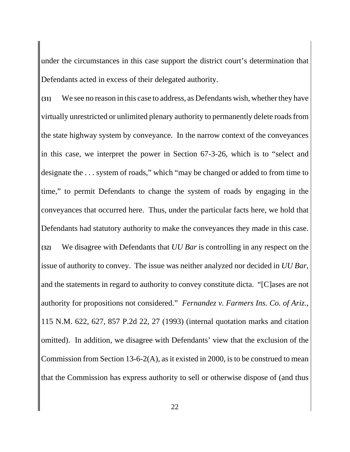under the circumstances in this case support the district court's determination that Defendants acted in excess of their delegated authority.

**{31}** We see no reason in this case to address, as Defendants wish, whether they have virtually unrestricted or unlimited plenary authority to permanently delete roads from the state highway system by conveyance. In the narrow context of the conveyances in this case, we interpret the power in Section 67-3-26, which is to "select and designate the . . . system of roads," which "may be changed or added to from time to time," to permit Defendants to change the system of roads by engaging in the conveyances that occurred here. Thus, under the particular facts here, we hold that Defendants had statutory authority to make the conveyances they made in this case. **{32}** We disagree with Defendants that *UU Bar* is controlling in any respect on the issue of authority to convey. The issue was neither analyzed nor decided in *UU Bar*, and the statements in regard to authority to convey constitute dicta. "[C]ases are not authority for propositions not considered." *Fernandez v. Farmers Ins. Co. of Ariz.*, 115 N.M. 622, 627, 857 P.2d 22, 27 (1993) (internal quotation marks and citation omitted). In addition, we disagree with Defendants' view that the exclusion of the Commission from Section 13-6-2(A), as it existed in 2000, is to be construed to mean that the Commission has express authority to sell or otherwise dispose of (and thus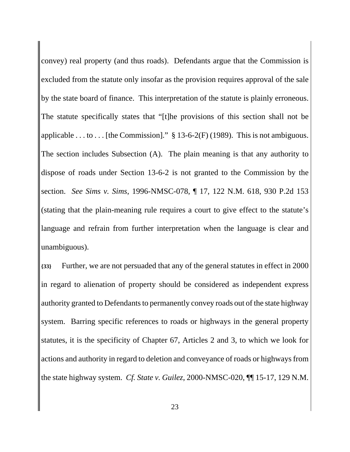convey) real property (and thus roads). Defendants argue that the Commission is excluded from the statute only insofar as the provision requires approval of the sale by the state board of finance. This interpretation of the statute is plainly erroneous. The statute specifically states that "[t]he provisions of this section shall not be applicable . . . to . . . [the Commission]."  $\S 13-6-2(F)$  (1989). This is not ambiguous. The section includes Subsection (A). The plain meaning is that any authority to dispose of roads under Section 13-6-2 is not granted to the Commission by the section. *See Sims v. Sims*, 1996-NMSC-078, ¶ 17, 122 N.M. 618, 930 P.2d 153 (stating that the plain-meaning rule requires a court to give effect to the statute's language and refrain from further interpretation when the language is clear and unambiguous).

**{33}** Further, we are not persuaded that any of the general statutes in effect in 2000 in regard to alienation of property should be considered as independent express authority granted to Defendants to permanently convey roads out of the state highway system. Barring specific references to roads or highways in the general property statutes, it is the specificity of Chapter 67, Articles 2 and 3, to which we look for actions and authority in regard to deletion and conveyance of roads or highways from the state highway system. *Cf. State v. Guilez*, 2000-NMSC-020, ¶¶ 15-17, 129 N.M.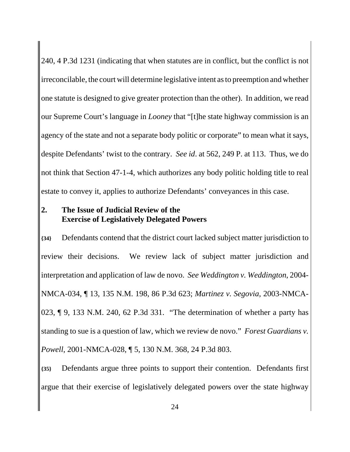240, 4 P.3d 1231 (indicating that when statutes are in conflict, but the conflict is not irreconcilable, the court will determine legislative intent as to preemption and whether one statute is designed to give greater protection than the other). In addition, we read our Supreme Court's language in *Looney* that "[t]he state highway commission is an agency of the state and not a separate body politic or corporate" to mean what it says, despite Defendants' twist to the contrary. *See id*. at 562, 249 P. at 113. Thus, we do not think that Section 47-1-4, which authorizes any body politic holding title to real estate to convey it, applies to authorize Defendants' conveyances in this case.

## **2. The Issue of Judicial Review of the Exercise of Legislatively Delegated Powers**

**{34}** Defendants contend that the district court lacked subject matter jurisdiction to review their decisions. We review lack of subject matter jurisdiction and interpretation and application of law de novo. *See Weddington v. Weddington*, 2004- NMCA-034, ¶ 13, 135 N.M. 198, 86 P.3d 623; *Martinez v. Segovia*, 2003-NMCA-023, ¶ 9, 133 N.M. 240, 62 P.3d 331. "The determination of whether a party has standing to sue is a question of law, which we review de novo." *Forest Guardians v. Powell*, 2001-NMCA-028, ¶ 5, 130 N.M. 368, 24 P.3d 803.

**{35}** Defendants argue three points to support their contention. Defendants first argue that their exercise of legislatively delegated powers over the state highway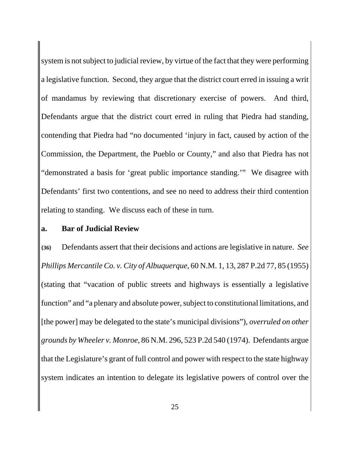system is not subject to judicial review, by virtue of the fact that they were performing a legislative function. Second, they argue that the district court erred in issuing a writ of mandamus by reviewing that discretionary exercise of powers. And third, Defendants argue that the district court erred in ruling that Piedra had standing, contending that Piedra had "no documented 'injury in fact, caused by action of the Commission, the Department, the Pueblo or County," and also that Piedra has not "demonstrated a basis for 'great public importance standing.'" We disagree with Defendants' first two contentions, and see no need to address their third contention relating to standing. We discuss each of these in turn.

#### **a. Bar of Judicial Review**

**{36}** Defendants assert that their decisions and actions are legislative in nature. *See Phillips Mercantile Co. v. City of Albuquerque,* 60 N.M. 1, 13, 287 P.2d 77, 85 (1955) (stating that "vacation of public streets and highways is essentially a legislative function" and "a plenary and absolute power, subject to constitutional limitations, and [the power] may be delegated to the state's municipal divisions"), *overruled on other grounds by Wheeler v. Monroe*, 86 N.M. 296, 523 P.2d 540 (1974). Defendants argue that the Legislature's grant of full control and power with respect to the state highway system indicates an intention to delegate its legislative powers of control over the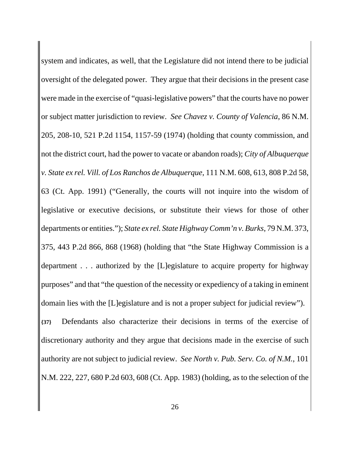system and indicates, as well, that the Legislature did not intend there to be judicial oversight of the delegated power. They argue that their decisions in the present case were made in the exercise of "quasi-legislative powers" that the courts have no power or subject matter jurisdiction to review. *See Chavez v. County of Valencia*, 86 N.M. 205, 208-10, 521 P.2d 1154, 1157-59 (1974) (holding that county commission, and not the district court, had the power to vacate or abandon roads); *City of Albuquerque v. State ex rel. Vill. of Los Ranchos de Albuquerque*, 111 N.M. 608, 613, 808 P.2d 58, 63 (Ct. App. 1991) ("Generally, the courts will not inquire into the wisdom of legislative or executive decisions, or substitute their views for those of other departments or entities."); *State ex rel. State Highway Comm'n v. Burks*, 79 N.M. 373, 375, 443 P.2d 866, 868 (1968) (holding that "the State Highway Commission is a department . . . authorized by the [L]egislature to acquire property for highway purposes" and that "the question of the necessity or expediency of a taking in eminent domain lies with the [L]egislature and is not a proper subject for judicial review"). **{37}** Defendants also characterize their decisions in terms of the exercise of discretionary authority and they argue that decisions made in the exercise of such authority are not subject to judicial review. *See North v. Pub. Serv. Co. of N.M.*, 101 N.M. 222, 227, 680 P.2d 603, 608 (Ct. App. 1983) (holding, as to the selection of the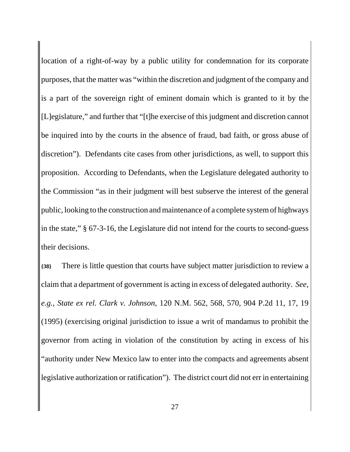location of a right-of-way by a public utility for condemnation for its corporate purposes, that the matter was "within the discretion and judgment of the company and is a part of the sovereign right of eminent domain which is granted to it by the [L]egislature," and further that "[t]he exercise of this judgment and discretion cannot be inquired into by the courts in the absence of fraud, bad faith, or gross abuse of discretion"). Defendants cite cases from other jurisdictions, as well, to support this proposition. According to Defendants, when the Legislature delegated authority to the Commission "as in their judgment will best subserve the interest of the general public, looking to the construction and maintenance of a complete system of highways in the state," § 67-3-16, the Legislature did not intend for the courts to second-guess their decisions.

**{38}** There is little question that courts have subject matter jurisdiction to review a claim that a department of government is acting in excess of delegated authority. *See, e.g.*, *State ex rel. Clark v. Johnson*, 120 N.M. 562, 568, 570, 904 P.2d 11, 17, 19 (1995) (exercising original jurisdiction to issue a writ of mandamus to prohibit the governor from acting in violation of the constitution by acting in excess of his "authority under New Mexico law to enter into the compacts and agreements absent legislative authorization or ratification"). The district court did not err in entertaining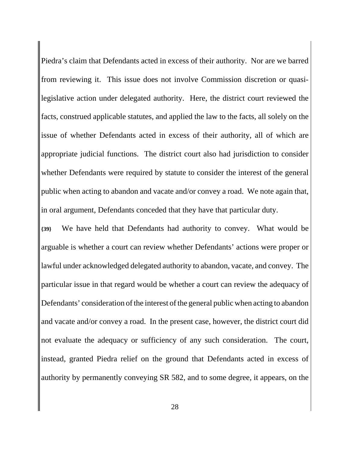Piedra's claim that Defendants acted in excess of their authority. Nor are we barred from reviewing it. This issue does not involve Commission discretion or quasilegislative action under delegated authority. Here, the district court reviewed the facts, construed applicable statutes, and applied the law to the facts, all solely on the issue of whether Defendants acted in excess of their authority, all of which are appropriate judicial functions. The district court also had jurisdiction to consider whether Defendants were required by statute to consider the interest of the general public when acting to abandon and vacate and/or convey a road. We note again that, in oral argument, Defendants conceded that they have that particular duty.

**{39}** We have held that Defendants had authority to convey. What would be arguable is whether a court can review whether Defendants' actions were proper or lawful under acknowledged delegated authority to abandon, vacate, and convey. The particular issue in that regard would be whether a court can review the adequacy of Defendants' consideration of the interest of the general public when acting to abandon and vacate and/or convey a road. In the present case, however, the district court did not evaluate the adequacy or sufficiency of any such consideration. The court, instead, granted Piedra relief on the ground that Defendants acted in excess of authority by permanently conveying SR 582, and to some degree, it appears, on the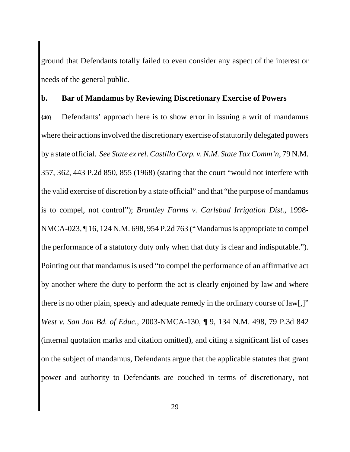ground that Defendants totally failed to even consider any aspect of the interest or needs of the general public.

#### **b. Bar of Mandamus by Reviewing Discretionary Exercise of Powers**

**{40}** Defendants' approach here is to show error in issuing a writ of mandamus where their actions involved the discretionary exercise of statutorily delegated powers by a state official. *See State ex rel. Castillo Corp. v. N.M. State Tax Comm'n*, 79 N.M. 357, 362, 443 P.2d 850, 855 (1968) (stating that the court "would not interfere with the valid exercise of discretion by a state official" and that "the purpose of mandamus is to compel, not control"); *Brantley Farms v. Carlsbad Irrigation Dist.*, 1998- NMCA-023, ¶ 16, 124 N.M. 698, 954 P.2d 763 ("Mandamus is appropriate to compel the performance of a statutory duty only when that duty is clear and indisputable."). Pointing out that mandamus is used "to compel the performance of an affirmative act by another where the duty to perform the act is clearly enjoined by law and where there is no other plain, speedy and adequate remedy in the ordinary course of law[,]" *West v. San Jon Bd. of Educ.*, 2003-NMCA-130, ¶ 9, 134 N.M. 498, 79 P.3d 842 (internal quotation marks and citation omitted), and citing a significant list of cases on the subject of mandamus, Defendants argue that the applicable statutes that grant power and authority to Defendants are couched in terms of discretionary, not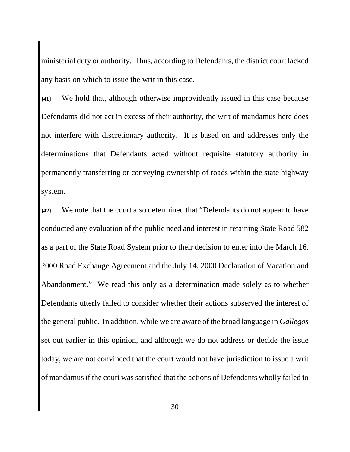ministerial duty or authority. Thus, according to Defendants, the district court lacked any basis on which to issue the writ in this case.

**{41}** We hold that, although otherwise improvidently issued in this case because Defendants did not act in excess of their authority, the writ of mandamus here does not interfere with discretionary authority. It is based on and addresses only the determinations that Defendants acted without requisite statutory authority in permanently transferring or conveying ownership of roads within the state highway system.

**{42}** We note that the court also determined that "Defendants do not appear to have conducted any evaluation of the public need and interest in retaining State Road 582 as a part of the State Road System prior to their decision to enter into the March 16, 2000 Road Exchange Agreement and the July 14, 2000 Declaration of Vacation and Abandonment." We read this only as a determination made solely as to whether Defendants utterly failed to consider whether their actions subserved the interest of the general public. In addition, while we are aware of the broad language in *Gallegos* set out earlier in this opinion, and although we do not address or decide the issue today, we are not convinced that the court would not have jurisdiction to issue a writ of mandamus if the court was satisfied that the actions of Defendants wholly failed to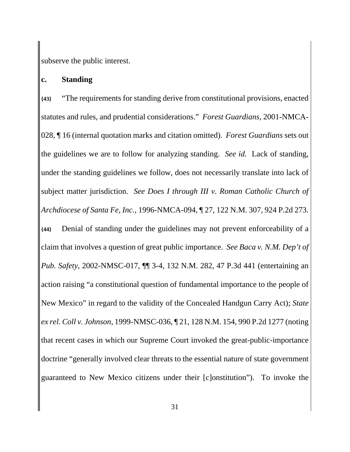subserve the public interest.

#### **c. Standing**

**{43}** "The requirements for standing derive from constitutional provisions, enacted statutes and rules, and prudential considerations." *Forest Guardians*, 2001-NMCA-028, ¶ 16 (internal quotation marks and citation omitted). *Forest Guardians* sets out the guidelines we are to follow for analyzing standing. *See id.* Lack of standing, under the standing guidelines we follow, does not necessarily translate into lack of subject matter jurisdiction. *See Does I through III v. Roman Catholic Church of Archdiocese of Santa Fe, Inc.*, 1996-NMCA-094, ¶ 27, 122 N.M. 307, 924 P.2d 273. **{44}** Denial of standing under the guidelines may not prevent enforceability of a claim that involves a question of great public importance. *See Baca v. N.M. Dep't of Pub. Safety*, 2002-NMSC-017, ¶¶ 3-4, 132 N.M. 282, 47 P.3d 441 (entertaining an action raising "a constitutional question of fundamental importance to the people of New Mexico" in regard to the validity of the Concealed Handgun Carry Act); *State ex rel. Coll v. Johnson*, 1999-NMSC-036, ¶ 21, 128 N.M. 154, 990 P.2d 1277 (noting that recent cases in which our Supreme Court invoked the great-public-importance doctrine "generally involved clear threats to the essential nature of state government guaranteed to New Mexico citizens under their [c]onstitution"). To invoke the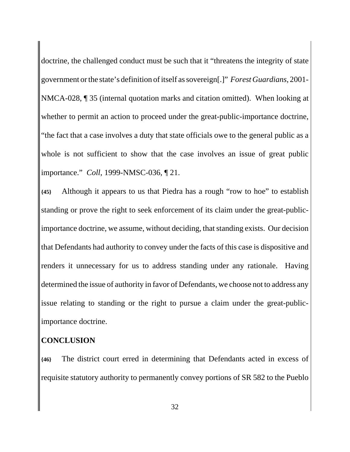doctrine, the challenged conduct must be such that it "threatens the integrity of state government or the state's definition of itself as sovereign[.]" *Forest Guardians*, 2001- NMCA-028, ¶ 35 (internal quotation marks and citation omitted). When looking at whether to permit an action to proceed under the great-public-importance doctrine, "the fact that a case involves a duty that state officials owe to the general public as a whole is not sufficient to show that the case involves an issue of great public importance." *Coll*, 1999-NMSC-036, ¶ 21.

**{45}** Although it appears to us that Piedra has a rough "row to hoe" to establish standing or prove the right to seek enforcement of its claim under the great-publicimportance doctrine, we assume, without deciding, that standing exists. Our decision that Defendants had authority to convey under the facts of this case is dispositive and renders it unnecessary for us to address standing under any rationale. Having determined the issue of authority in favor of Defendants, we choose not to address any issue relating to standing or the right to pursue a claim under the great-publicimportance doctrine.

## **CONCLUSION**

**{46}** The district court erred in determining that Defendants acted in excess of requisite statutory authority to permanently convey portions of SR 582 to the Pueblo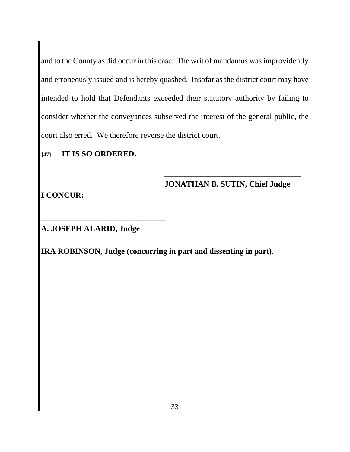and to the County as did occur in this case. The writ of mandamus was improvidently and erroneously issued and is hereby quashed. Insofar as the district court may have intended to hold that Defendants exceeded their statutory authority by failing to consider whether the conveyances subserved the interest of the general public, the court also erred. We therefore reverse the district court.

**{47} IT IS SO ORDERED.**

## **JONATHAN B. SUTIN, Chief Judge**

**\_\_\_\_\_\_\_\_\_\_\_\_\_\_\_\_\_\_\_\_\_\_\_\_\_\_\_\_\_\_\_\_\_\_**

**I CONCUR:**

**A. JOSEPH ALARID, Judge**

**\_\_\_\_\_\_\_\_\_\_\_\_\_\_\_\_\_\_\_\_\_\_\_\_\_\_\_\_\_\_\_**

**IRA ROBINSON, Judge (concurring in part and dissenting in part).**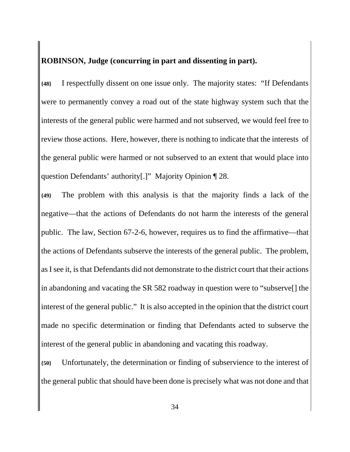## **ROBINSON, Judge (concurring in part and dissenting in part).**

**{48}** I respectfully dissent on one issue only. The majority states: "If Defendants were to permanently convey a road out of the state highway system such that the interests of the general public were harmed and not subserved, we would feel free to review those actions. Here, however, there is nothing to indicate that the interests of the general public were harmed or not subserved to an extent that would place into question Defendants' authority[.]" Majority Opinion ¶ 28.

**{49}** The problem with this analysis is that the majority finds a lack of the negative—that the actions of Defendants do not harm the interests of the general public. The law, Section 67-2-6, however, requires us to find the affirmative—that the actions of Defendants subserve the interests of the general public. The problem, as I see it, is that Defendants did not demonstrate to the district court that their actions in abandoning and vacating the SR 582 roadway in question were to "subserve[] the interest of the general public." It is also accepted in the opinion that the district court made no specific determination or finding that Defendants acted to subserve the interest of the general public in abandoning and vacating this roadway.

**{50}** Unfortunately, the determination or finding of subservience to the interest of the general public that should have been done is precisely what was not done and that